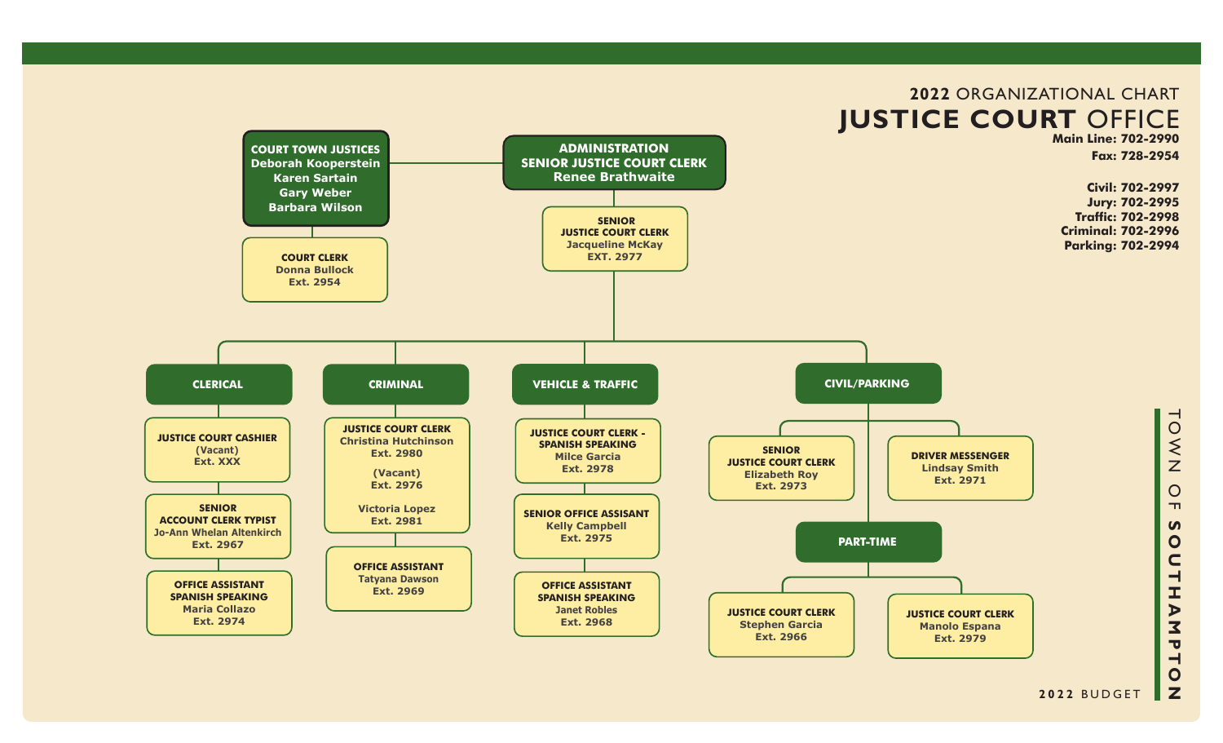

#### **2022** BUDGET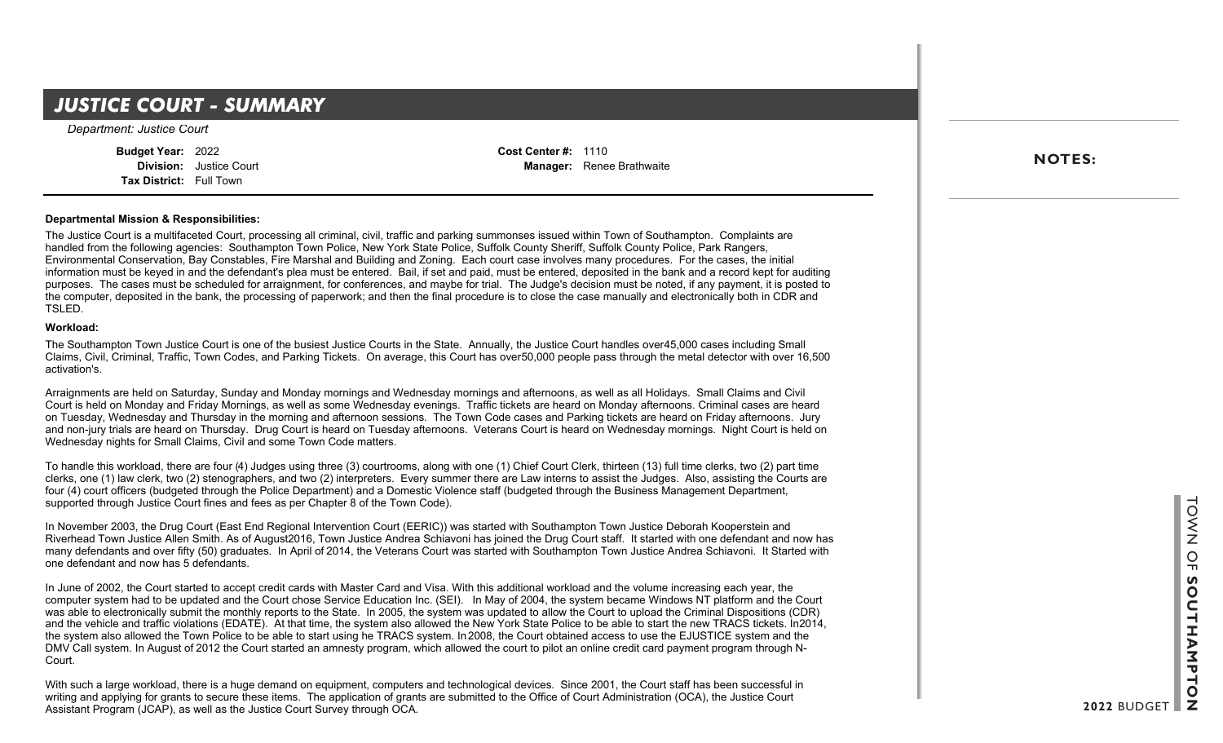### **JUSTICE COURT - SUMMARY**

*Department: Justice Court*

**Budget Year:** 2022 **Division:** Justice Court **Tax District:** Full Town

**Cost Center #:** 1110 **Manager:** Renee Brathwaite

### **Departmental Mission & Responsibilities:**

The Justice Court is a multifaceted Court, processing all criminal, civil, traffic and parking summonses issued within Town of Southampton. Complaints are handled from the following agencies: Southampton Town Police, New York State Police, Suffolk County Sheriff, Suffolk County Police, Park Rangers, Environmental Conservation, Bay Constables, Fire Marshal and Building and Zoning. Each court case involves many procedures. For the cases, the initial Information must be keyed in and the defendant's plea must be entered. Bail, if set and paid, must be entered, deposited in the bank and a record kept for auditing information must be keyed in and the defendant's plea must purposes. The cases must be scheduled for arraignment, for conferences, and maybe for trial. The Judge's decision must be noted, if any payment, it is posted to the computer, deposited in the bank, the processing of paperwork; and then the final procedure is to close the case manually and electronically both in CDR and TSLED.

#### **Workload:**

The Southampton Town Justice Court is one of the busiest Justice Courts in the State. Annually, the Justice Court handles over45,000 cases including Small Claims, Civil, Criminal, Traffic, Town Codes, and Parking Tickets. On average, this Court has over 50,000 people pass through the metal detector with over 16,500 activation's.

Arraignments are held on Saturday, Sunday and Monday mornings and Wednesday mornings and afternoons, as well as all Holidays. Small Claims and Civil Court is held on Monday and Friday Mornings, as well as some Wednesday evenings. Traffic tickets are heard on Monday afternoons. Criminal cases are heard on Tuesday, Wednesday and Thursday in the morning and afternoon sessions. The Town Code cases and Parking tickets are heard on Friday afternoons. Jury and non-jury trials are heard on Thursday. Drug Court is heard on Tuesday afternoons. Veterans Court is heard on Wednesday mornings. Night Court is held on Wednesday nights for Small Claims, Civil and some Town Code matters.

To handle this workload, there are four (4) Judges using three (3) courtrooms, along with one (1) Chief Court Clerk, thirteen (13) full time clerks, two (2) part time clerks, one (1) law clerk, two (2) stenographers, and two (2) interpreters. Every summer there are Law interns to assist the Judges. Also, assisting the Courts are four (4) court officers (budgeted through the Police Department) and a Domestic Violence staff (budgeted through the Business Management Department, supported through Justice Court fines and fees as per Chapter 8 of the Town Code).

In November 2003, the Drug Court (East End Regional Intervention Court (EERIC)) was started with Southampton Town Justice Deborah Kooperstein and Riverhead Town Justice Allen Smith. As of August 2016, Town Justice Andrea Schiavoni has joined the Drug Court staff. It started with one defendant and now has many defendants and over fifty (50) graduates. In April of 2014, the Veterans Court was started with Southampton Town Justice Andrea Schiavoni. It Started with one defendant and now has 5 defendants.

In June of 2002, the Court started to accept credit cards with Master Card and Visa. With this additional workload and the volume increasing each year, the computer system had to be updated and the Court chose Service Education Inc. (SEI). In May of 2004, the system became Windows NT platform and the Court was able to electronically submit the monthly reports to the State. In 2005, the system was updated to allow the Court to upload the Criminal Dispositions (CDR) and the vehicle and traffic violations (EDATE). At that time, the system also allowed the New York State Police to be able to start the new TRACS tickets. In 2014, the system also allowed the Town Police to be able to start using he TRACS system. In 2008, the Court obtained access to use the EJUSTICE system and the DMV Call system. In August of 2012 the Court started an amnesty program, which allowed the court to pilot an online credit card payment program through N-Court.

With such a large workload, there is a huge demand on equipment, computers and technological devices. Since 2001, the Court staff has been successful in writing and applying for grants to secure these items. The application of grants are submitted to the Office of Court Administration (OCA), the Justice Court Assistant Program (JCAP), as well as the Justice Court Survey through OCA.

**NOTES:**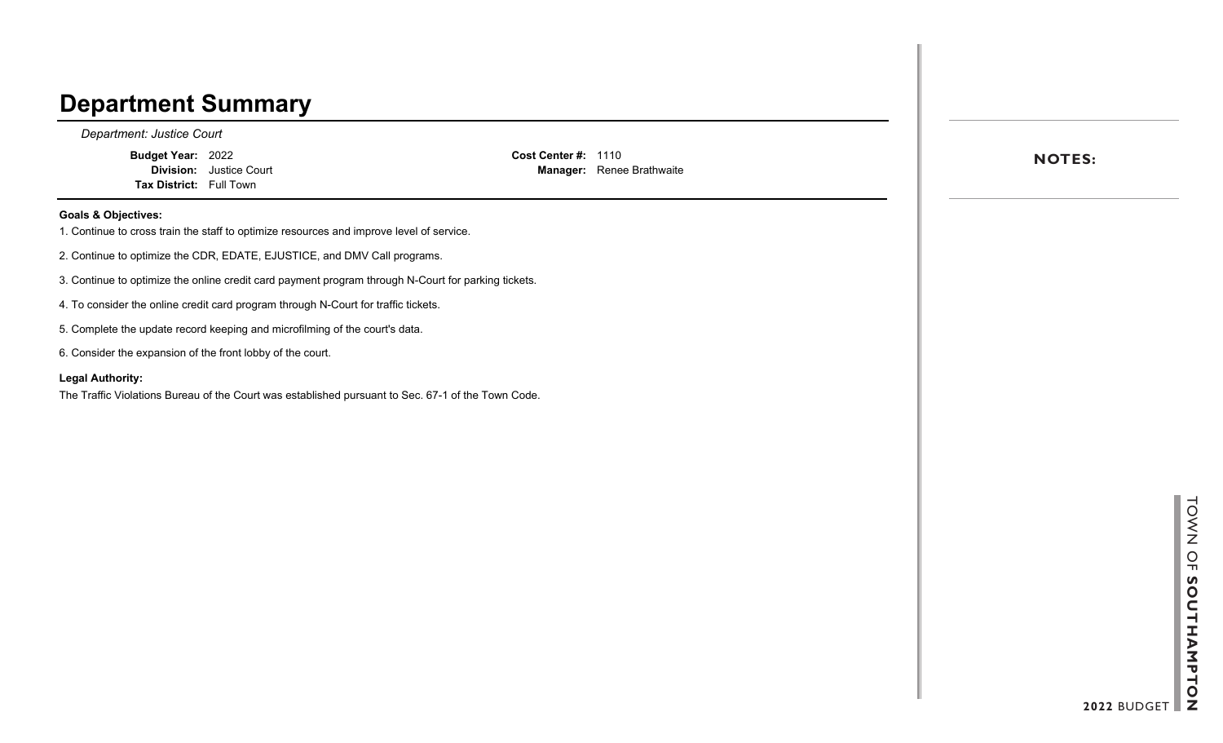### **Department Summary**

*Department: Justice Court*

**Budget Year:** 2022 **Division:** Justice Court **Tax District:** Full Town

**Cost Center #:** 1110 **Manager:** Renee Brathwaite

#### **Goals & Objectives:**

- 1. Continue to cross train the staff to optimize resources and improve level of service.
- 2. Continue to optimize the CDR, EDATE, EJUSTICE, and DMV Call programs.
- 3. Continue to optimize the online credit card payment program through N-Court for parking tickets.
- 4. To consider the online credit card program through N-Court for traffic tickets.
- 5. Complete the update record keeping and microfilming of the court's data.
- 6. Consider the expansion of the front lobby of the court.

#### **Legal Authority:**

The Traffic Violations Bureau of the Court was established pursuant to Sec. 67-1 of the Town Code.

**NOTES:**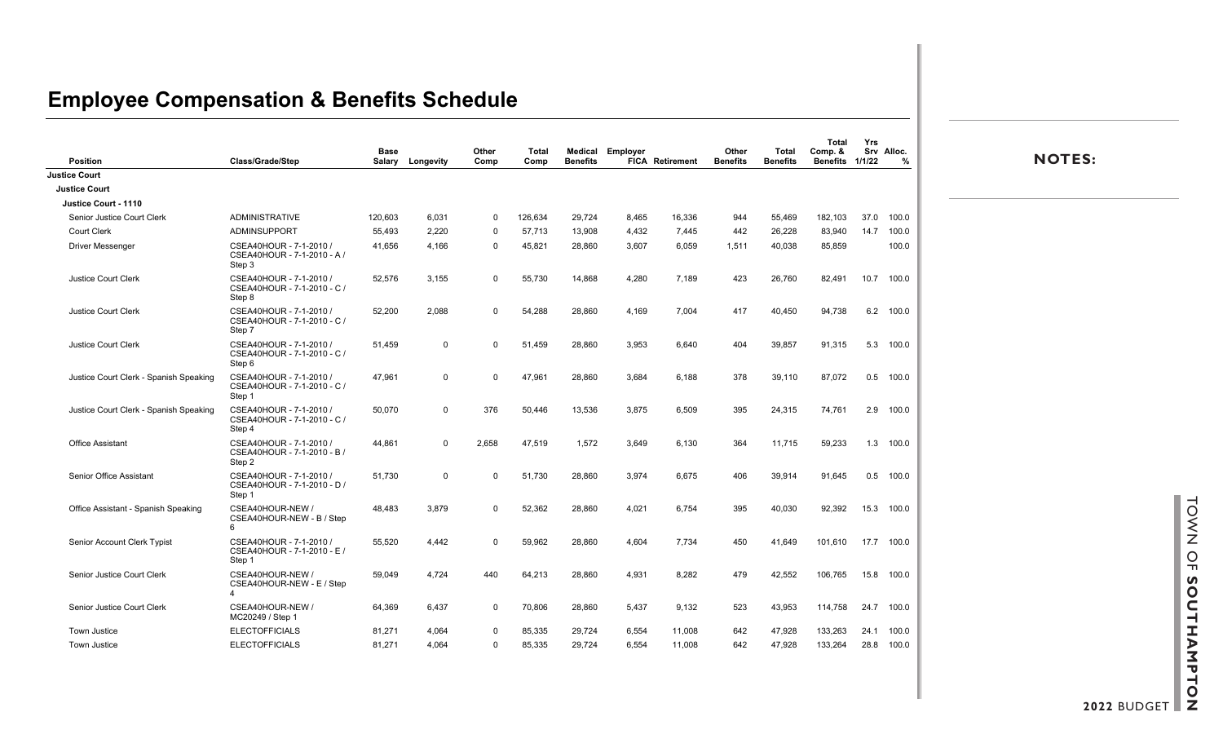## **Employee Compensation & Benefits Schedule**

| Position                               | Class/Grade/Step                                                 | <b>Base</b><br>Salary | Longevity      | Other<br>Comp | Total<br>Comp | <b>Benefits</b> | <b>Medical Employer</b> | <b>FICA Retirement</b> | Other<br><b>Benefits</b> | Total<br><b>Benefits</b> | Total<br>Comp. &<br><b>Benefits</b> | Yrs<br>1/1/22 | Srv Alloc.<br>% | <b>NOTES:</b> |
|----------------------------------------|------------------------------------------------------------------|-----------------------|----------------|---------------|---------------|-----------------|-------------------------|------------------------|--------------------------|--------------------------|-------------------------------------|---------------|-----------------|---------------|
| <b>Justice Court</b>                   |                                                                  |                       |                |               |               |                 |                         |                        |                          |                          |                                     |               |                 |               |
| <b>Justice Court</b>                   |                                                                  |                       |                |               |               |                 |                         |                        |                          |                          |                                     |               |                 |               |
| Justice Court - 1110                   |                                                                  |                       |                |               |               |                 |                         |                        |                          |                          |                                     |               |                 |               |
| Senior Justice Court Clerk             | <b>ADMINISTRATIVE</b>                                            | 120,603               | 6,031          | 0             | 126,634       | 29,724          | 8,465                   | 16,336                 | 944                      | 55,469                   | 182,103                             |               | 37.0 100.0      |               |
| <b>Court Clerk</b>                     | ADMINSUPPORT                                                     | 55,493                | 2,220          | 0             | 57,713        | 13,908          | 4,432                   | 7,445                  | 442                      | 26,228                   | 83,940                              | 14.7          | 100.0           |               |
| <b>Driver Messenger</b>                | CSEA40HOUR - 7-1-2010 /<br>CSEA40HOUR - 7-1-2010 - A /<br>Step 3 | 41,656                | 4,166          | 0             | 45,821        | 28,860          | 3,607                   | 6,059                  | 1,511                    | 40,038                   | 85,859                              |               | 100.0           |               |
| <b>Justice Court Clerk</b>             | CSEA40HOUR - 7-1-2010 /<br>CSEA40HOUR - 7-1-2010 - C /<br>Step 8 | 52,576                | 3,155          | $\mathbf 0$   | 55,730        | 14,868          | 4,280                   | 7,189                  | 423                      | 26,760                   | 82,491                              |               | 10.7 100.0      |               |
| <b>Justice Court Clerk</b>             | CSEA40HOUR - 7-1-2010 /<br>CSEA40HOUR - 7-1-2010 - C /<br>Step 7 | 52,200                | 2,088          | 0             | 54,288        | 28,860          | 4,169                   | 7,004                  | 417                      | 40,450                   | 94,738                              |               | 6.2 100.0       |               |
| <b>Justice Court Clerk</b>             | CSEA40HOUR - 7-1-2010 /<br>CSEA40HOUR - 7-1-2010 - C /<br>Step 6 | 51,459                | $\mathbf 0$    | $\mathbf 0$   | 51,459        | 28,860          | 3,953                   | 6,640                  | 404                      | 39,857                   | 91,315                              |               | 5.3 100.0       |               |
| Justice Court Clerk - Spanish Speaking | CSEA40HOUR - 7-1-2010 /<br>CSEA40HOUR - 7-1-2010 - C /<br>Step 1 | 47,961                | $\overline{0}$ | $\mathbf 0$   | 47,961        | 28,860          | 3,684                   | 6,188                  | 378                      | 39,110                   | 87,072                              |               | $0.5$ 100.0     |               |
| Justice Court Clerk - Spanish Speaking | CSEA40HOUR - 7-1-2010 /<br>CSEA40HOUR - 7-1-2010 - C /<br>Step 4 | 50,070                | 0              | 376           | 50,446        | 13,536          | 3,875                   | 6,509                  | 395                      | 24,315                   | 74,761                              | 2.9           | 100.0           |               |
| <b>Office Assistant</b>                | CSEA40HOUR - 7-1-2010 /<br>CSEA40HOUR - 7-1-2010 - B /<br>Step 2 | 44,861                | $\overline{0}$ | 2,658         | 47,519        | 1,572           | 3,649                   | 6,130                  | 364                      | 11,715                   | 59,233                              | 1.3           | 100.0           |               |
| Senior Office Assistant                | CSEA40HOUR - 7-1-2010 /<br>CSEA40HOUR - 7-1-2010 - D /<br>Step 1 | 51,730                | $\overline{0}$ | $\Omega$      | 51,730        | 28,860          | 3,974                   | 6,675                  | 406                      | 39,914                   | 91,645                              |               | $0.5$ 100.0     |               |
| Office Assistant - Spanish Speaking    | CSEA40HOUR-NEW /<br>CSEA40HOUR-NEW - B / Step<br>6               | 48,483                | 3,879          | 0             | 52,362        | 28,860          | 4,021                   | 6,754                  | 395                      | 40,030                   | 92,392                              |               | 15.3 100.0      |               |
| Senior Account Clerk Typist            | CSEA40HOUR - 7-1-2010 /<br>CSEA40HOUR - 7-1-2010 - E /<br>Step 1 | 55,520                | 4,442          | 0             | 59,962        | 28,860          | 4,604                   | 7,734                  | 450                      | 41,649                   | 101,610                             |               | 17.7 100.0      |               |
| Senior Justice Court Clerk             | CSEA40HOUR-NEW /<br>CSEA40HOUR-NEW - E / Step<br>Δ               | 59,049                | 4,724          | 440           | 64,213        | 28,860          | 4,931                   | 8,282                  | 479                      | 42,552                   | 106,765                             | 15.8          | 100.0           |               |
| Senior Justice Court Clerk             | CSEA40HOUR-NEW /<br>MC20249 / Step 1                             | 64,369                | 6,437          | 0             | 70,806        | 28,860          | 5,437                   | 9,132                  | 523                      | 43,953                   | 114,758                             |               | 24.7 100.0      |               |
| <b>Town Justice</b>                    | <b>ELECTOFFICIALS</b>                                            | 81,271                | 4,064          | 0             | 85,335        | 29,724          | 6,554                   | 11.008                 | 642                      | 47,928                   | 133,263                             | 24.1          | 100.0           |               |
| <b>Town Justice</b>                    | <b>ELECTOFFICIALS</b>                                            | 81,271                | 4,064          | 0             | 85,335        | 29,724          | 6,554                   | 11,008                 | 642                      | 47,928                   | 133,264                             | 28.8          | 100.0           |               |

**2022** BUDGET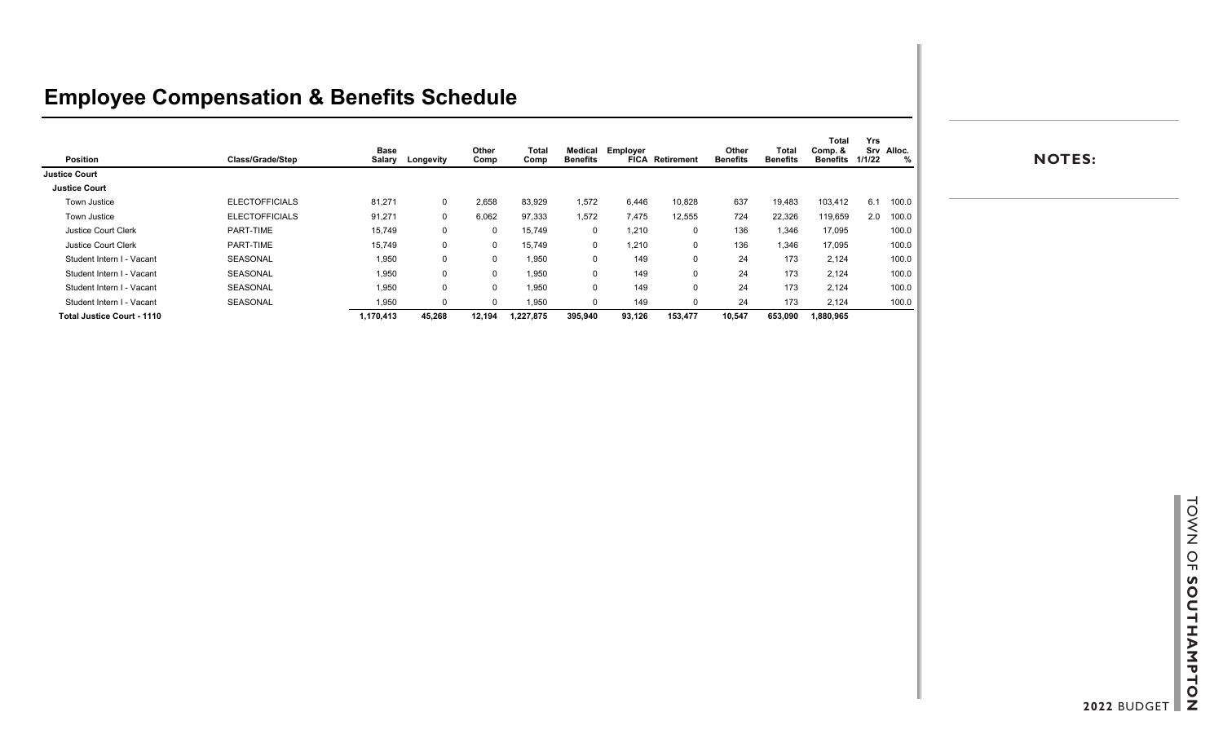## **Employee Compensation & Benefits Schedule**

|                                   |                       | <b>Base</b> |             | Other  | <b>Total</b> | Medical      | Employer |                        | Other           | Total           | <b>Total</b><br>Comp. & | Yrs<br>Srv Alloc. |       |
|-----------------------------------|-----------------------|-------------|-------------|--------|--------------|--------------|----------|------------------------|-----------------|-----------------|-------------------------|-------------------|-------|
| Position                          | Class/Grade/Step      | Salary      | Longevity   | Comp   | Comp         | Benefits     |          | <b>FICA Retirement</b> | <b>Benefits</b> | <b>Benefits</b> | Benefits 1/1/22         |                   | %     |
| <b>Justice Court</b>              |                       |             |             |        |              |              |          |                        |                 |                 |                         |                   |       |
| <b>Justice Court</b>              |                       |             |             |        |              |              |          |                        |                 |                 |                         |                   |       |
| Town Justice                      | <b>ELECTOFFICIALS</b> | 81,271      | $\mathbf 0$ | 2,658  | 83,929       | 1,572        | 6,446    | 10,828                 | 637             | 19,483          | 103,412                 | 6.1               | 100.0 |
| Town Justice                      | <b>ELECTOFFICIALS</b> | 91,271      | 0           | 6,062  | 97,333       | 1,572        | 7,475    | 12,555                 | 724             | 22,326          | 119,659                 | 2.0               | 100.0 |
| <b>Justice Court Clerk</b>        | PART-TIME             | 15,749      | 0           |        | 15,749       | $\mathbf{0}$ | 1,210    | 0                      | 136             | 1.346           | 17,095                  |                   | 100.0 |
| Justice Court Clerk               | PART-TIME             | 15,749      | 0           |        | 15,749       | $\mathbf{0}$ | 1,210    | $\mathbf 0$            | 136             | 1.346           | 17,095                  |                   | 100.0 |
| Student Intern I - Vacant         | SEASONAL              | 1,950       | 0           |        | 1,950        | $\Omega$     | 149      | $\mathbf 0$            | 24              | 173             | 2,124                   |                   | 100.0 |
| Student Intern I - Vacant         | SEASONAL              | 1,950       | 0           |        | 1,950        | $\Omega$     | 149      | $\mathbf 0$            | 24              | 173             | 2,124                   |                   | 100.0 |
| Student Intern I - Vacant         | SEASONAL              | 1,950       | 0           |        | 1,950        | $\Omega$     | 149      | 0                      | 24              | 173             | 2,124                   |                   | 100.0 |
| Student Intern I - Vacant         | SEASONAL              | 1,950       | 0           |        | 1,950        | $\Omega$     | 149      |                        | 24              | 173             | 2,124                   |                   | 100.0 |
| <b>Total Justice Court - 1110</b> |                       | 1,170,413   | 45,268      | 12,194 | 1,227,875    | 395,940      | 93,126   | 153,477                | 10,547          | 653,090         | 1,880,965               |                   |       |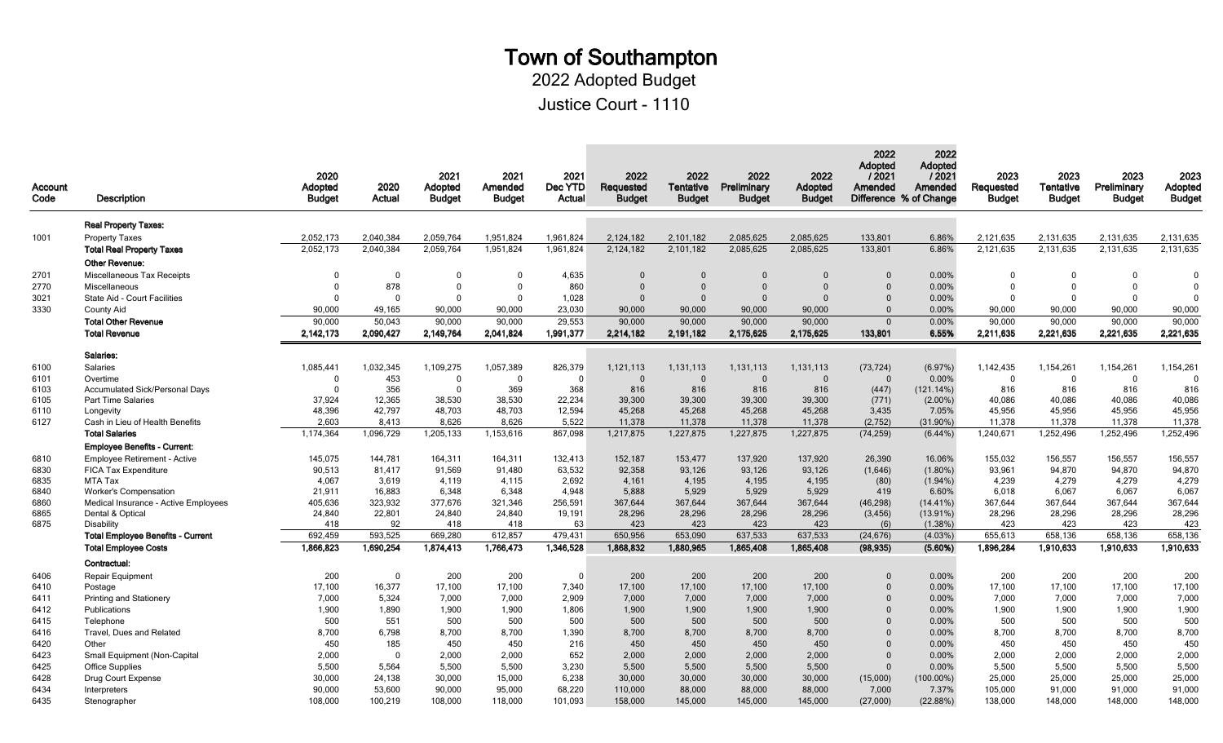# Town of Southampton

2022 Adopted Budget

Justice Court - 1110

| Account<br>Code | Description                              | 2020<br>Adopted<br><b>Budget</b> | 2020<br>Actual | 2021<br>Adopted<br><b>Budget</b> | 2021<br>Amended<br><b>Budget</b> | 2021<br>Dec YTD<br>Actual | 2022<br>Requested<br><b>Budget</b> | 2022<br>Tentative<br><b>Budget</b> | 2022<br>Preliminary<br><b>Budget</b> | 2022<br>Adopted<br><b>Budget</b> | 2022<br>Adopted<br>/2021<br>Amended<br>Difference % of Change | 2022<br>Adopted<br>12021<br>Amended | 2023<br>Requested<br><b>Budget</b> | 2023<br><b>Tentative</b><br><b>Budget</b> | 2023<br>Preliminary<br><b>Budget</b> | 2023<br>Adopted<br><b>Budget</b> |
|-----------------|------------------------------------------|----------------------------------|----------------|----------------------------------|----------------------------------|---------------------------|------------------------------------|------------------------------------|--------------------------------------|----------------------------------|---------------------------------------------------------------|-------------------------------------|------------------------------------|-------------------------------------------|--------------------------------------|----------------------------------|
|                 | <b>Real Property Taxes:</b>              |                                  |                |                                  |                                  |                           |                                    |                                    |                                      |                                  |                                                               |                                     |                                    |                                           |                                      |                                  |
| 1001            | <b>Property Taxes</b>                    | 2.052.173                        | 2.040.384      | 2,059,764                        | 1.951.824                        | 1.961.824                 | 2,124,182                          | 2.101.182                          | 2.085.625                            | 2.085.625                        | 133.801                                                       | 6.86%                               | 2,121,635                          | 2,131,635                                 | 2,131,635                            | 2,131,635                        |
|                 | <b>Total Real Property Taxes</b>         | 2,052,173                        | 2,040,384      | 2,059,764                        | 1,951,824                        | 1,961,824                 | 2,124,182                          | 2,101,182                          | 2,085,625                            | 2,085,625                        | 133,801                                                       | 6.86%                               | 2,121,635                          | 2,131,635                                 | 2,131,635                            | 2,131,635                        |
|                 | <b>Other Revenue:</b>                    |                                  |                |                                  |                                  |                           |                                    |                                    |                                      |                                  |                                                               |                                     |                                    |                                           |                                      |                                  |
| 2701            | Miscellaneous Tax Receipts               | $\Omega$                         | $\Omega$       | $\Omega$                         | $\Omega$                         | 4,635                     | $\Omega$                           | $\Omega$                           | $\Omega$                             | $\Omega$                         | $\Omega$                                                      | 0.00%                               | $\overline{0}$                     | $\Omega$                                  | $\Omega$                             | $\Omega$                         |
| 2770            | Miscellaneous                            | $\Omega$                         | 878            | $\Omega$                         | $\Omega$                         | 860                       | $\Omega$                           | $\Omega$                           | $\Omega$                             | $\Omega$                         | $\Omega$                                                      | 0.00%                               | $\mathbf{0}$                       | $\Omega$                                  | $\mathbf{0}$                         | $\Omega$                         |
| 3021            | <b>State Aid - Court Facilities</b>      | $\Omega$                         | $\Omega$       | $\Omega$                         | $\Omega$                         | 1.028                     | $\Omega$                           | $\Omega$                           | $\Omega$                             | $\Omega$                         | $\Omega$                                                      | 0.00%                               | $\overline{0}$                     | $\Omega$                                  | $\Omega$                             | $\Omega$                         |
| 3330            | <b>County Aid</b>                        | 90,000                           | 49,165         | 90,000                           | 90,000                           | 23,030                    | 90,000                             | 90,000                             | 90,000                               | 90,000                           | $\Omega$                                                      | 0.00%                               | 90,000                             | 90,000                                    | 90,000                               | 90,000                           |
|                 | <b>Total Other Revenue</b>               | 90,000                           | 50,043         | 90,000                           | 90,000                           | 29,553                    | 90,000                             | 90,000                             | 90,000                               | 90,000                           | $\mathbf{0}$                                                  | 0.00%                               | 90,000                             | 90,000                                    | 90,000                               | 90,000                           |
|                 | <b>Total Revenue</b>                     | 2,142,173                        | 2.090,427      | 2,149,764                        | 2,041,824                        | 1,991,377                 | 2,214,182                          | 2.191.182                          | 2,175,625                            | 2,175,625                        | 133,801                                                       | 6.55%                               | 2,211,635                          | 2.221,635                                 | 2,221,635                            | 2,221,635                        |
|                 | Salaries:                                |                                  |                |                                  |                                  |                           |                                    |                                    |                                      |                                  |                                                               |                                     |                                    |                                           |                                      |                                  |
| 6100            | <b>Salaries</b>                          | 1,085,441                        | 1,032,345      | 1,109,275                        | 1,057,389                        | 826,379                   | 1,121,113                          | 1,131,113                          | 1.131.113                            | 1.131.113                        | (73, 724)                                                     | (6.97%)                             | 1,142,435                          | 1,154,261                                 | 1,154,261                            | 1,154,261                        |
| 6101            | Overtime                                 | $\mathbf{0}$                     | 453            | $\Omega$                         | $\mathbf 0$                      | $\overline{0}$            | $\Omega$                           | $\Omega$                           | $\Omega$                             | $\Omega$                         | $\Omega$                                                      | 0.00%                               | $\mathbf{0}$                       | $\mathbf 0$                               | $\mathbf 0$                          | $\Omega$                         |
| 6103            | <b>Accumulated Sick/Personal Days</b>    | $\Omega$                         | 356            | $\Omega$                         | 369                              | 368                       | 816                                | 816                                | 816                                  | 816                              | (447)                                                         | $(121.14\%)$                        | 816                                | 816                                       | 816                                  | 816                              |
| 6105            | <b>Part Time Salaries</b>                | 37,924                           | 12,365         | 38,530                           | 38,530                           | 22,234                    | 39,300                             | 39,300                             | 39,300                               | 39,300                           | (771)                                                         | $(2.00\%)$                          | 40,086                             | 40,086                                    | 40,086                               | 40,086                           |
| 6110            | Longevity                                | 48,396                           | 42,797         | 48,703                           | 48,703                           | 12,594                    | 45,268                             | 45,268                             | 45,268                               | 45,268                           | 3,435                                                         | 7.05%                               | 45,956                             | 45.956                                    | 45.956                               | 45,956                           |
| 6127            | Cash in Lieu of Health Benefits          | 2,603                            | 8,413          | 8,626                            | 8,626                            | 5,522                     | 11,378                             | 11,378                             | 11,378                               | 11,378                           | (2,752)                                                       | $(31.90\%)$                         | 11,378                             | 11,378                                    | 11,378                               | 11,378                           |
|                 | <b>Total Salaries</b>                    | 1,174,364                        | 1,096,729      | 1,205,133                        | 1,153,616                        | 867,098                   | 1,217,875                          | 1,227,875                          | 1,227,875                            | 1,227,875                        | (74, 259)                                                     | $(6.44\%)$                          | 1,240,671                          | 1,252,496                                 | 1,252,496                            | 1,252,496                        |
|                 | <b>Employee Benefits - Current:</b>      |                                  |                |                                  |                                  |                           |                                    |                                    |                                      |                                  |                                                               |                                     |                                    |                                           |                                      |                                  |
| 6810            | <b>Employee Retirement - Active</b>      | 145,075                          | 144,781        | 164,311                          | 164,311                          | 132,413                   | 152,187                            | 153,477                            | 137,920                              | 137,920                          | 26,390                                                        | 16.06%                              | 155,032                            | 156,557                                   | 156,557                              | 156,557                          |
| 6830            | <b>FICA Tax Expenditure</b>              | 90,513                           | 81,417         | 91.569                           | 91,480                           | 63,532                    | 92,358                             | 93,126                             | 93,126                               | 93,126                           | (1,646)                                                       | $(1.80\%)$                          | 93,961                             | 94,870                                    | 94,870                               | 94,870                           |
| 6835            | MTA Tax                                  | 4,067                            | 3,619          | 4,119                            | 4,115                            | 2,692                     | 4,161                              | 4,195                              | 4,195                                | 4,195                            | (80)                                                          | $(1.94\%)$                          | 4,239                              | 4,279                                     | 4,279                                | 4,279                            |
| 6840            | <b>Worker's Compensation</b>             | 21,911                           | 16.883         | 6.348                            | 6.348                            | 4.948                     | 5,888                              | 5,929                              | 5,929                                | 5,929                            | 419                                                           | 6.60%                               | 6.018                              | 6.067                                     | 6.067                                | 6,067                            |
| 6860            | Medical Insurance - Active Employees     | 405,636                          | 323,932        | 377,676                          | 321,346                          | 256,591                   | 367,644                            | 367,644                            | 367,644                              | 367,644                          | (46, 298)                                                     | $(14.41\%)$                         | 367,644                            | 367,644                                   | 367,644                              | 367,644                          |
| 6865<br>6875    | Dental & Optical<br>Disability           | 24,840<br>418                    | 22,801<br>92   | 24,840<br>418                    | 24,840<br>418                    | 19,191<br>63              | 28,296<br>423                      | 28,296<br>423                      | 28,296<br>423                        | 28,296<br>423                    | (3, 456)<br>(6)                                               | $(13.91\%)$<br>$(1.38\%)$           | 28,296<br>423                      | 28,296<br>423                             | 28,296<br>423                        | 28,296<br>423                    |
|                 | <b>Total Employee Benefits - Current</b> | 692,459                          | 593,525        | 669,280                          | 612,857                          | 479.431                   | 650.956                            | 653.090                            | 637,533                              | 637,533                          | (24, 676)                                                     | $(4.03\%)$                          | 655,613                            | 658,136                                   | 658.136                              | 658,136                          |
|                 | <b>Total Employee Costs</b>              | 1,866,823                        | 1,690,254      | 1,874,413                        | 1,766,473                        | 1,346,528                 | 1.868.832                          | 1.880,965                          | 1.865.408                            | 1.865.408                        | (98, 935)                                                     | (5.60%)                             | 1,896,284                          | 1,910,633                                 | 1,910,633                            | 1.910.633                        |
|                 | Contractual:                             |                                  |                |                                  |                                  |                           |                                    |                                    |                                      |                                  |                                                               |                                     |                                    |                                           |                                      |                                  |
| 6406            | Repair Equipment                         | 200                              | $\mathbf 0$    | 200                              | 200                              | $\overline{0}$            | 200                                | 200                                | 200                                  | 200                              | $\Omega$                                                      | 0.00%                               | 200                                | 200                                       | 200                                  | 200                              |
| 6410            | Postage                                  | 17,100                           | 16,377         | 17.100                           | 17.100                           | 7,340                     | 17,100                             | 17,100                             | 17.100                               | 17,100                           | $\Omega$                                                      | 0.00%                               | 17,100                             | 17,100                                    | 17,100                               | 17,100                           |
| 6411            | <b>Printing and Stationery</b>           | 7,000                            | 5,324          | 7,000                            | 7,000                            | 2,909                     | 7,000                              | 7,000                              | 7,000                                | 7,000                            | $\Omega$                                                      | 0.00%                               | 7,000                              | 7,000                                     | 7,000                                | 7,000                            |
| 6412            | Publications                             | 1,900                            | 1,890          | 1,900                            | 1,900                            | 1,806                     | 1,900                              | 1,900                              | 1,900                                | 1,900                            | $\Omega$                                                      | 0.00%                               | 1,900                              | 1,900                                     | 1,900                                | 1,900                            |
| 6415            | Telephone                                | 500                              | 551            | 500                              | 500                              | 500                       | 500                                | 500                                | 500                                  | 500                              | $\Omega$                                                      | 0.00%                               | 500                                | 500                                       | 500                                  | 500                              |
| 6416            | Travel, Dues and Related                 | 8,700                            | 6,798          | 8,700                            | 8,700                            | 1,390                     | 8,700                              | 8,700                              | 8,700                                | 8,700                            | $\Omega$                                                      | 0.00%                               | 8.700                              | 8,700                                     | 8,700                                | 8,700                            |
| 6420            | Other                                    | 450                              | 185            | 450                              | 450                              | 216                       | 450                                | 450                                | 450                                  | 450                              | $\Omega$                                                      | 0.00%                               | 450                                | 450                                       | 450                                  | 450                              |
| 6423            | Small Equipment (Non-Capital             | 2,000                            | $\Omega$       | 2,000                            | 2,000                            | 652                       | 2,000                              | 2,000                              | 2,000                                | 2,000                            | $\Omega$                                                      | 0.00%                               | 2,000                              | 2,000                                     | 2.000                                | 2,000                            |
| 6425            | <b>Office Supplies</b>                   | 5,500                            | 5,564          | 5,500                            | 5,500                            | 3,230                     | 5,500                              | 5,500                              | 5,500                                | 5,500                            | $\Omega$                                                      | 0.00%                               | 5,500                              | 5,500                                     | 5,500                                | 5,500                            |
| 6428            | Drug Court Expense                       | 30,000                           | 24,138         | 30,000                           | 15,000                           | 6,238                     | 30,000                             | 30,000                             | 30,000                               | 30,000                           | (15,000)                                                      | $(100.00\%)$                        | 25,000                             | 25,000                                    | 25,000                               | 25,000                           |
| 6434            | Interpreters                             | 90,000                           | 53,600         | 90,000                           | 95,000                           | 68,220                    | 110,000                            | 88,000                             | 88,000                               | 88,000                           | 7,000                                                         | 7.37%                               | 105,000                            | 91,000                                    | 91,000                               | 91,000                           |
| 6435            | Stenographer                             | 108,000                          | 100,219        | 108,000                          | 118,000                          | 101.093                   | 158,000                            | 145,000                            | 145,000                              | 145,000                          | (27,000)                                                      | (22.88%)                            | 138,000                            | 148,000                                   | 148,000                              | 148,000                          |